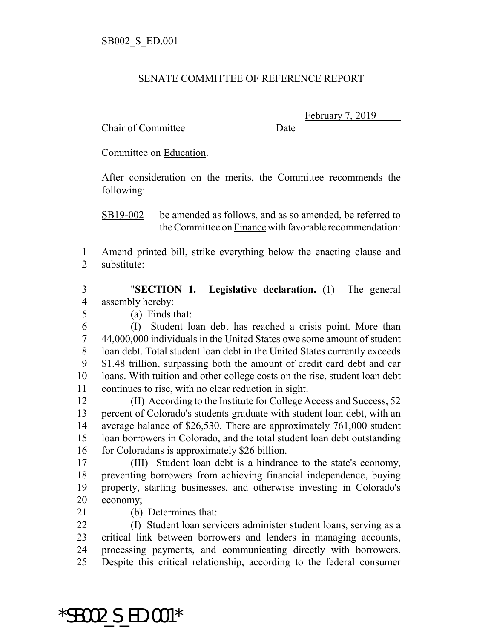## SENATE COMMITTEE OF REFERENCE REPORT

Chair of Committee Date

February 7, 2019

Committee on Education.

After consideration on the merits, the Committee recommends the following:

SB19-002 be amended as follows, and as so amended, be referred to the Committee on Finance with favorable recommendation:

 Amend printed bill, strike everything below the enacting clause and substitute:

 "**SECTION 1. Legislative declaration.** (1) The general assembly hereby:

(a) Finds that:

 (I) Student loan debt has reached a crisis point. More than 44,000,000 individuals in the United States owe some amount of student loan debt. Total student loan debt in the United States currently exceeds \$1.48 trillion, surpassing both the amount of credit card debt and car loans. With tuition and other college costs on the rise, student loan debt continues to rise, with no clear reduction in sight.

 (II) According to the Institute for College Access and Success, 52 percent of Colorado's students graduate with student loan debt, with an average balance of \$26,530. There are approximately 761,000 student loan borrowers in Colorado, and the total student loan debt outstanding for Coloradans is approximately \$26 billion.

 (III) Student loan debt is a hindrance to the state's economy, preventing borrowers from achieving financial independence, buying property, starting businesses, and otherwise investing in Colorado's economy;

(b) Determines that:

 (I) Student loan servicers administer student loans, serving as a critical link between borrowers and lenders in managing accounts, processing payments, and communicating directly with borrowers. Despite this critical relationship, according to the federal consumer

\*SB002\_S\_ED.001\*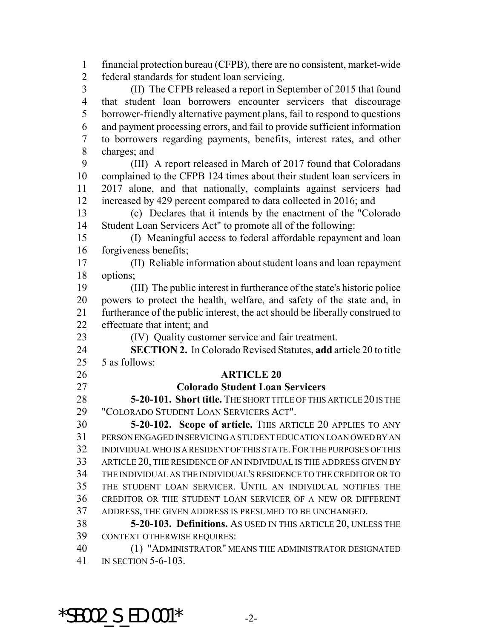financial protection bureau (CFPB), there are no consistent, market-wide federal standards for student loan servicing. (II) The CFPB released a report in September of 2015 that found that student loan borrowers encounter servicers that discourage borrower-friendly alternative payment plans, fail to respond to questions and payment processing errors, and fail to provide sufficient information to borrowers regarding payments, benefits, interest rates, and other charges; and (III) A report released in March of 2017 found that Coloradans complained to the CFPB 124 times about their student loan servicers in 2017 alone, and that nationally, complaints against servicers had increased by 429 percent compared to data collected in 2016; and (c) Declares that it intends by the enactment of the "Colorado Student Loan Servicers Act" to promote all of the following: (I) Meaningful access to federal affordable repayment and loan forgiveness benefits; (II) Reliable information about student loans and loan repayment options; (III) The public interest in furtherance of the state's historic police powers to protect the health, welfare, and safety of the state and, in furtherance of the public interest, the act should be liberally construed to effectuate that intent; and (IV) Quality customer service and fair treatment. **SECTION 2.** In Colorado Revised Statutes, **add** article 20 to title 5 as follows: **ARTICLE 20 Colorado Student Loan Servicers 5-20-101. Short title.** THE SHORT TITLE OF THIS ARTICLE 20 IS THE "COLORADO STUDENT LOAN SERVICERS ACT". **5-20-102. Scope of article.** THIS ARTICLE 20 APPLIES TO ANY PERSON ENGAGED IN SERVICING A STUDENT EDUCATION LOAN OWED BY AN INDIVIDUAL WHO IS A RESIDENT OF THIS STATE.FOR THE PURPOSES OF THIS ARTICLE 20, THE RESIDENCE OF AN INDIVIDUAL IS THE ADDRESS GIVEN BY THE INDIVIDUAL AS THE INDIVIDUAL'S RESIDENCE TO THE CREDITOR OR TO THE STUDENT LOAN SERVICER. UNTIL AN INDIVIDUAL NOTIFIES THE CREDITOR OR THE STUDENT LOAN SERVICER OF A NEW OR DIFFERENT ADDRESS, THE GIVEN ADDRESS IS PRESUMED TO BE UNCHANGED. **5-20-103. Definitions.** AS USED IN THIS ARTICLE 20, UNLESS THE CONTEXT OTHERWISE REQUIRES: (1) "ADMINISTRATOR" MEANS THE ADMINISTRATOR DESIGNATED IN SECTION 5-6-103.

\*SB002 S ED.001\*  $-2$ -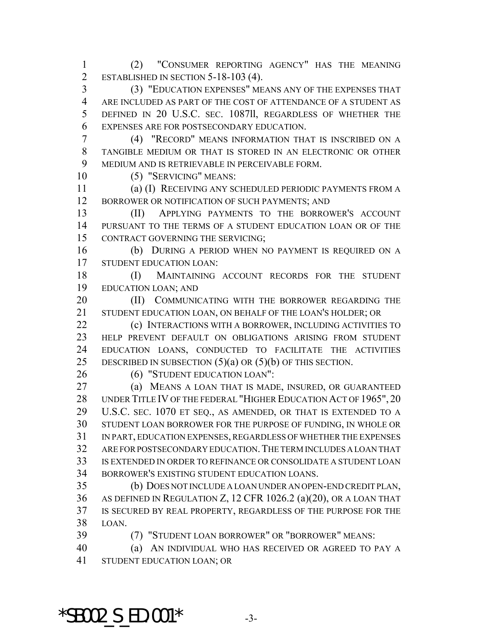(2) "CONSUMER REPORTING AGENCY" HAS THE MEANING 2 ESTABLISHED IN SECTION 5-18-103 (4).

 (3) "EDUCATION EXPENSES" MEANS ANY OF THE EXPENSES THAT ARE INCLUDED AS PART OF THE COST OF ATTENDANCE OF A STUDENT AS DEFINED IN 20 U.S.C. SEC. 1087ll, REGARDLESS OF WHETHER THE EXPENSES ARE FOR POSTSECONDARY EDUCATION.

 (4) "RECORD" MEANS INFORMATION THAT IS INSCRIBED ON A TANGIBLE MEDIUM OR THAT IS STORED IN AN ELECTRONIC OR OTHER MEDIUM AND IS RETRIEVABLE IN PERCEIVABLE FORM.

(5) "SERVICING" MEANS:

 (a) (I) RECEIVING ANY SCHEDULED PERIODIC PAYMENTS FROM A 12 BORROWER OR NOTIFICATION OF SUCH PAYMENTS; AND

 (II) APPLYING PAYMENTS TO THE BORROWER'S ACCOUNT PURSUANT TO THE TERMS OF A STUDENT EDUCATION LOAN OR OF THE CONTRACT GOVERNING THE SERVICING;

 (b) DURING A PERIOD WHEN NO PAYMENT IS REQUIRED ON A STUDENT EDUCATION LOAN:

18 (I) MAINTAINING ACCOUNT RECORDS FOR THE STUDENT EDUCATION LOAN; AND

**(II) COMMUNICATING WITH THE BORROWER REGARDING THE** STUDENT EDUCATION LOAN, ON BEHALF OF THE LOAN'S HOLDER; OR

**(c) INTERACTIONS WITH A BORROWER, INCLUDING ACTIVITIES TO**  HELP PREVENT DEFAULT ON OBLIGATIONS ARISING FROM STUDENT EDUCATION LOANS, CONDUCTED TO FACILITATE THE ACTIVITIES 25 DESCRIBED IN SUBSECTION  $(5)(a)$  OR  $(5)(b)$  OF THIS SECTION.

26 (6) "STUDENT EDUCATION LOAN":

 (a) MEANS A LOAN THAT IS MADE, INSURED, OR GUARANTEED 28 UNDER TITLE IV OF THE FEDERAL "HIGHER EDUCATION ACT OF 1965", 20 U.S.C. SEC. 1070 ET SEQ., AS AMENDED, OR THAT IS EXTENDED TO A STUDENT LOAN BORROWER FOR THE PURPOSE OF FUNDING, IN WHOLE OR IN PART, EDUCATION EXPENSES, REGARDLESS OF WHETHER THE EXPENSES ARE FOR POSTSECONDARY EDUCATION.THE TERM INCLUDES A LOAN THAT IS EXTENDED IN ORDER TO REFINANCE OR CONSOLIDATE A STUDENT LOAN BORROWER'S EXISTING STUDENT EDUCATION LOANS.

 (b) DOES NOT INCLUDE A LOAN UNDER AN OPEN-END CREDIT PLAN, AS DEFINED IN REGULATION Z, 12 CFR 1026.2 (a)(20), OR A LOAN THAT IS SECURED BY REAL PROPERTY, REGARDLESS OF THE PURPOSE FOR THE LOAN.

(7) "STUDENT LOAN BORROWER" OR "BORROWER" MEANS:

 (a) AN INDIVIDUAL WHO HAS RECEIVED OR AGREED TO PAY A STUDENT EDUCATION LOAN; OR

\*SB002 S ED.001\*  $-3$ -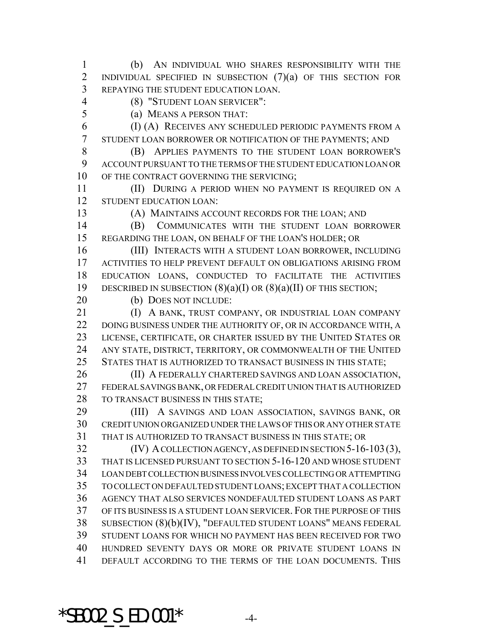(b) AN INDIVIDUAL WHO SHARES RESPONSIBILITY WITH THE 2 INDIVIDUAL SPECIFIED IN SUBSECTION (7)(a) OF THIS SECTION FOR REPAYING THE STUDENT EDUCATION LOAN.

(8) "STUDENT LOAN SERVICER":

(a) MEANS A PERSON THAT:

 (I) (A) RECEIVES ANY SCHEDULED PERIODIC PAYMENTS FROM A STUDENT LOAN BORROWER OR NOTIFICATION OF THE PAYMENTS; AND

 (B) APPLIES PAYMENTS TO THE STUDENT LOAN BORROWER'S ACCOUNT PURSUANT TO THE TERMS OF THE STUDENT EDUCATION LOAN OR 10 OF THE CONTRACT GOVERNING THE SERVICING;

11 (II) DURING A PERIOD WHEN NO PAYMENT IS REQUIRED ON A STUDENT EDUCATION LOAN:

(A) MAINTAINS ACCOUNT RECORDS FOR THE LOAN; AND

 (B) COMMUNICATES WITH THE STUDENT LOAN BORROWER REGARDING THE LOAN, ON BEHALF OF THE LOAN'S HOLDER; OR

 (III) INTERACTS WITH A STUDENT LOAN BORROWER, INCLUDING ACTIVITIES TO HELP PREVENT DEFAULT ON OBLIGATIONS ARISING FROM EDUCATION LOANS, CONDUCTED TO FACILITATE THE ACTIVITIES 19 DESCRIBED IN SUBSECTION  $(8)(a)(I)$  OR  $(8)(a)(II)$  OF THIS SECTION;

20 (b) DOES NOT INCLUDE:

21 (I) A BANK, TRUST COMPANY, OR INDUSTRIAL LOAN COMPANY 22 DOING BUSINESS UNDER THE AUTHORITY OF, OR IN ACCORDANCE WITH, A LICENSE, CERTIFICATE, OR CHARTER ISSUED BY THE UNITED STATES OR ANY STATE, DISTRICT, TERRITORY, OR COMMONWEALTH OF THE UNITED STATES THAT IS AUTHORIZED TO TRANSACT BUSINESS IN THIS STATE;

26 (II) A FEDERALLY CHARTERED SAVINGS AND LOAN ASSOCIATION, FEDERAL SAVINGS BANK, OR FEDERAL CREDIT UNION THAT IS AUTHORIZED 28 TO TRANSACT BUSINESS IN THIS STATE;

 (III) A SAVINGS AND LOAN ASSOCIATION, SAVINGS BANK, OR CREDIT UNION ORGANIZED UNDER THE LAWS OF THIS OR ANY OTHER STATE THAT IS AUTHORIZED TO TRANSACT BUSINESS IN THIS STATE; OR

 (IV) A COLLECTION AGENCY, AS DEFINED IN SECTION 5-16-103(3), THAT IS LICENSED PURSUANT TO SECTION 5-16-120 AND WHOSE STUDENT LOAN DEBT COLLECTION BUSINESS INVOLVES COLLECTING OR ATTEMPTING TO COLLECT ON DEFAULTED STUDENT LOANS; EXCEPT THAT A COLLECTION AGENCY THAT ALSO SERVICES NONDEFAULTED STUDENT LOANS AS PART OF ITS BUSINESS IS A STUDENT LOAN SERVICER. FOR THE PURPOSE OF THIS SUBSECTION (8)(b)(IV), "DEFAULTED STUDENT LOANS" MEANS FEDERAL STUDENT LOANS FOR WHICH NO PAYMENT HAS BEEN RECEIVED FOR TWO HUNDRED SEVENTY DAYS OR MORE OR PRIVATE STUDENT LOANS IN DEFAULT ACCORDING TO THE TERMS OF THE LOAN DOCUMENTS. THIS

 $*$ SB002 S ED.001 $*$  -4-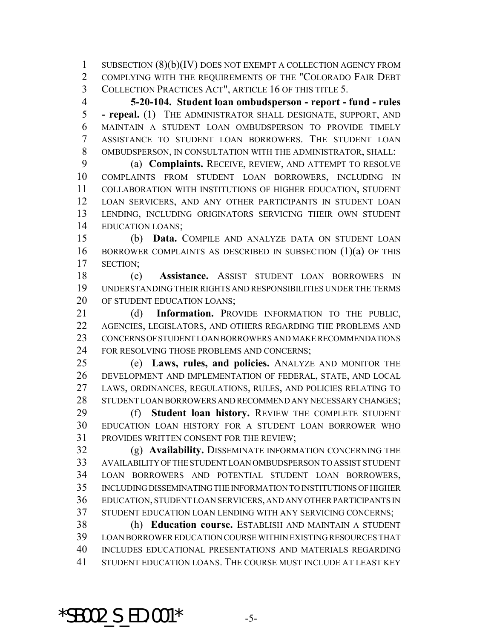SUBSECTION (8)(b)(IV) DOES NOT EXEMPT A COLLECTION AGENCY FROM COMPLYING WITH THE REQUIREMENTS OF THE "COLORADO FAIR DEBT COLLECTION PRACTICES ACT", ARTICLE 16 OF THIS TITLE 5.

 **5-20-104. Student loan ombudsperson - report - fund - rules - repeal.** (1) THE ADMINISTRATOR SHALL DESIGNATE, SUPPORT, AND MAINTAIN A STUDENT LOAN OMBUDSPERSON TO PROVIDE TIMELY ASSISTANCE TO STUDENT LOAN BORROWERS. THE STUDENT LOAN OMBUDSPERSON, IN CONSULTATION WITH THE ADMINISTRATOR, SHALL:

 (a) **Complaints.** RECEIVE, REVIEW, AND ATTEMPT TO RESOLVE COMPLAINTS FROM STUDENT LOAN BORROWERS, INCLUDING IN COLLABORATION WITH INSTITUTIONS OF HIGHER EDUCATION, STUDENT LOAN SERVICERS, AND ANY OTHER PARTICIPANTS IN STUDENT LOAN LENDING, INCLUDING ORIGINATORS SERVICING THEIR OWN STUDENT EDUCATION LOANS;

 (b) **Data.** COMPILE AND ANALYZE DATA ON STUDENT LOAN BORROWER COMPLAINTS AS DESCRIBED IN SUBSECTION (1)(a) OF THIS SECTION;

 (c) **Assistance.** ASSIST STUDENT LOAN BORROWERS IN UNDERSTANDING THEIR RIGHTS AND RESPONSIBILITIES UNDER THE TERMS 20 OF STUDENT EDUCATION LOANS;

 (d) **Information.** PROVIDE INFORMATION TO THE PUBLIC, AGENCIES, LEGISLATORS, AND OTHERS REGARDING THE PROBLEMS AND CONCERNS OF STUDENT LOAN BORROWERS AND MAKE RECOMMENDATIONS 24 FOR RESOLVING THOSE PROBLEMS AND CONCERNS;

 (e) **Laws, rules, and policies.** ANALYZE AND MONITOR THE DEVELOPMENT AND IMPLEMENTATION OF FEDERAL, STATE, AND LOCAL LAWS, ORDINANCES, REGULATIONS, RULES, AND POLICIES RELATING TO STUDENT LOAN BORROWERS AND RECOMMEND ANY NECESSARY CHANGES;

 (f) **Student loan history.** REVIEW THE COMPLETE STUDENT EDUCATION LOAN HISTORY FOR A STUDENT LOAN BORROWER WHO PROVIDES WRITTEN CONSENT FOR THE REVIEW;

 (g) **Availability.** DISSEMINATE INFORMATION CONCERNING THE AVAILABILITY OF THE STUDENT LOAN OMBUDSPERSON TO ASSIST STUDENT LOAN BORROWERS AND POTENTIAL STUDENT LOAN BORROWERS, INCLUDING DISSEMINATING THE INFORMATION TO INSTITUTIONS OF HIGHER EDUCATION, STUDENT LOAN SERVICERS, AND ANY OTHER PARTICIPANTS IN STUDENT EDUCATION LOAN LENDING WITH ANY SERVICING CONCERNS;

 (h) **Education course.** ESTABLISH AND MAINTAIN A STUDENT LOAN BORROWER EDUCATION COURSE WITHIN EXISTING RESOURCES THAT INCLUDES EDUCATIONAL PRESENTATIONS AND MATERIALS REGARDING STUDENT EDUCATION LOANS. THE COURSE MUST INCLUDE AT LEAST KEY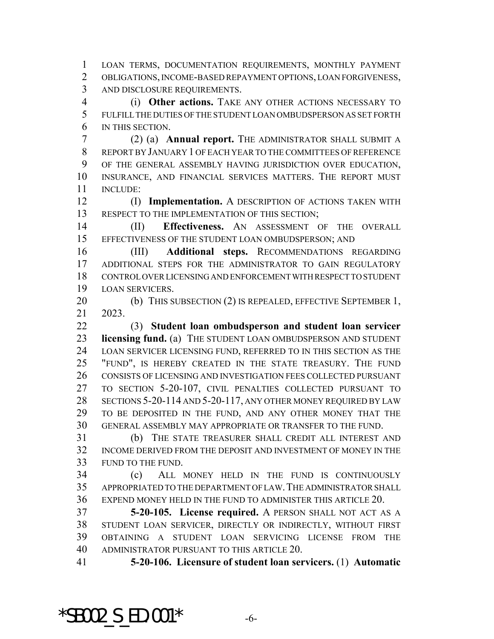LOAN TERMS, DOCUMENTATION REQUIREMENTS, MONTHLY PAYMENT OBLIGATIONS, INCOME-BASED REPAYMENT OPTIONS, LOAN FORGIVENESS, AND DISCLOSURE REQUIREMENTS.

 (i) **Other actions.** TAKE ANY OTHER ACTIONS NECESSARY TO FULFILL THE DUTIES OF THE STUDENT LOAN OMBUDSPERSON AS SET FORTH IN THIS SECTION.

 (2) (a) **Annual report.** THE ADMINISTRATOR SHALL SUBMIT A REPORT BY JANUARY 1 OF EACH YEAR TO THE COMMITTEES OF REFERENCE OF THE GENERAL ASSEMBLY HAVING JURISDICTION OVER EDUCATION, INSURANCE, AND FINANCIAL SERVICES MATTERS. THE REPORT MUST INCLUDE:

 (I) **Implementation.** A DESCRIPTION OF ACTIONS TAKEN WITH 13 RESPECT TO THE IMPLEMENTATION OF THIS SECTION;

 (II) **Effectiveness.** AN ASSESSMENT OF THE OVERALL EFFECTIVENESS OF THE STUDENT LOAN OMBUDSPERSON; AND

 (III) **Additional steps.** RECOMMENDATIONS REGARDING ADDITIONAL STEPS FOR THE ADMINISTRATOR TO GAIN REGULATORY CONTROL OVER LICENSING AND ENFORCEMENT WITH RESPECT TO STUDENT LOAN SERVICERS.

20 (b) THIS SUBSECTION (2) IS REPEALED, EFFECTIVE SEPTEMBER 1, 2023.

 (3) **Student loan ombudsperson and student loan servicer licensing fund.** (a) THE STUDENT LOAN OMBUDSPERSON AND STUDENT LOAN SERVICER LICENSING FUND, REFERRED TO IN THIS SECTION AS THE "FUND", IS HEREBY CREATED IN THE STATE TREASURY. THE FUND CONSISTS OF LICENSING AND INVESTIGATION FEES COLLECTED PURSUANT TO SECTION 5-20-107, CIVIL PENALTIES COLLECTED PURSUANT TO SECTIONS 5-20-114 AND 5-20-117, ANY OTHER MONEY REQUIRED BY LAW TO BE DEPOSITED IN THE FUND, AND ANY OTHER MONEY THAT THE GENERAL ASSEMBLY MAY APPROPRIATE OR TRANSFER TO THE FUND.

 (b) THE STATE TREASURER SHALL CREDIT ALL INTEREST AND INCOME DERIVED FROM THE DEPOSIT AND INVESTMENT OF MONEY IN THE FUND TO THE FUND.

 (c) ALL MONEY HELD IN THE FUND IS CONTINUOUSLY APPROPRIATED TO THE DEPARTMENT OF LAW.THE ADMINISTRATOR SHALL EXPEND MONEY HELD IN THE FUND TO ADMINISTER THIS ARTICLE 20.

 **5-20-105. License required.** A PERSON SHALL NOT ACT AS A STUDENT LOAN SERVICER, DIRECTLY OR INDIRECTLY, WITHOUT FIRST OBTAINING A STUDENT LOAN SERVICING LICENSE FROM THE ADMINISTRATOR PURSUANT TO THIS ARTICLE 20.

**5-20-106. Licensure of student loan servicers.** (1) **Automatic**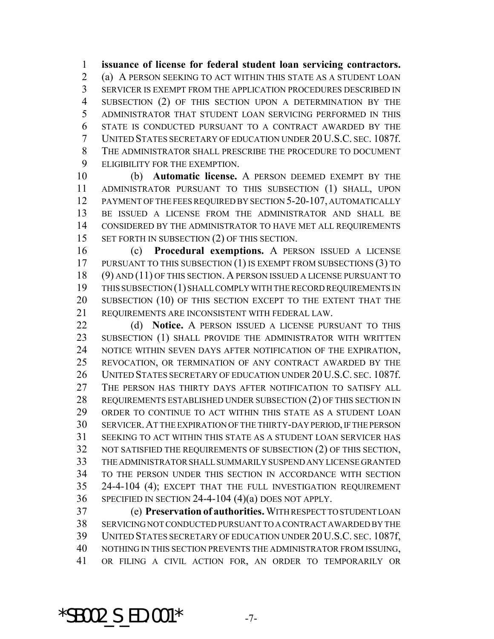**issuance of license for federal student loan servicing contractors.** (a) A PERSON SEEKING TO ACT WITHIN THIS STATE AS A STUDENT LOAN SERVICER IS EXEMPT FROM THE APPLICATION PROCEDURES DESCRIBED IN SUBSECTION (2) OF THIS SECTION UPON A DETERMINATION BY THE ADMINISTRATOR THAT STUDENT LOAN SERVICING PERFORMED IN THIS STATE IS CONDUCTED PURSUANT TO A CONTRACT AWARDED BY THE UNITED STATES SECRETARY OF EDUCATION UNDER 20 U.S.C. SEC. 1087f. THE ADMINISTRATOR SHALL PRESCRIBE THE PROCEDURE TO DOCUMENT ELIGIBILITY FOR THE EXEMPTION.

 (b) **Automatic license.** A PERSON DEEMED EXEMPT BY THE ADMINISTRATOR PURSUANT TO THIS SUBSECTION (1) SHALL, UPON PAYMENT OF THE FEES REQUIRED BY SECTION 5-20-107, AUTOMATICALLY BE ISSUED A LICENSE FROM THE ADMINISTRATOR AND SHALL BE CONSIDERED BY THE ADMINISTRATOR TO HAVE MET ALL REQUIREMENTS 15 SET FORTH IN SUBSECTION (2) OF THIS SECTION.

 (c) **Procedural exemptions.** A PERSON ISSUED A LICENSE 17 PURSUANT TO THIS SUBSECTION (1) IS EXEMPT FROM SUBSECTIONS (3) TO (9) AND (11) OF THIS SECTION. A PERSON ISSUED A LICENSE PURSUANT TO THIS SUBSECTION (1) SHALL COMPLY WITH THE RECORD REQUIREMENTS IN SUBSECTION (10) OF THIS SECTION EXCEPT TO THE EXTENT THAT THE REQUIREMENTS ARE INCONSISTENT WITH FEDERAL LAW.

 (d) **Notice.** A PERSON ISSUED A LICENSE PURSUANT TO THIS 23 SUBSECTION (1) SHALL PROVIDE THE ADMINISTRATOR WITH WRITTEN NOTICE WITHIN SEVEN DAYS AFTER NOTIFICATION OF THE EXPIRATION, REVOCATION, OR TERMINATION OF ANY CONTRACT AWARDED BY THE UNITED STATES SECRETARY OF EDUCATION UNDER 20 U.S.C. SEC. 1087f. THE PERSON HAS THIRTY DAYS AFTER NOTIFICATION TO SATISFY ALL REQUIREMENTS ESTABLISHED UNDER SUBSECTION (2) OF THIS SECTION IN ORDER TO CONTINUE TO ACT WITHIN THIS STATE AS A STUDENT LOAN SERVICER.AT THE EXPIRATION OF THE THIRTY-DAY PERIOD, IF THE PERSON SEEKING TO ACT WITHIN THIS STATE AS A STUDENT LOAN SERVICER HAS NOT SATISFIED THE REQUIREMENTS OF SUBSECTION (2) OF THIS SECTION, THE ADMINISTRATOR SHALL SUMMARILY SUSPEND ANY LICENSE GRANTED TO THE PERSON UNDER THIS SECTION IN ACCORDANCE WITH SECTION 24-4-104 (4); EXCEPT THAT THE FULL INVESTIGATION REQUIREMENT SPECIFIED IN SECTION 24-4-104 (4)(a) DOES NOT APPLY.

 (e) **Preservation of authorities.** WITH RESPECT TO STUDENT LOAN SERVICING NOT CONDUCTED PURSUANT TO A CONTRACT AWARDED BY THE UNITED STATES SECRETARY OF EDUCATION UNDER 20 U.S.C. SEC. 1087f, NOTHING IN THIS SECTION PREVENTS THE ADMINISTRATOR FROM ISSUING, OR FILING A CIVIL ACTION FOR, AN ORDER TO TEMPORARILY OR

\*SB002 S ED.001\*  $-7-$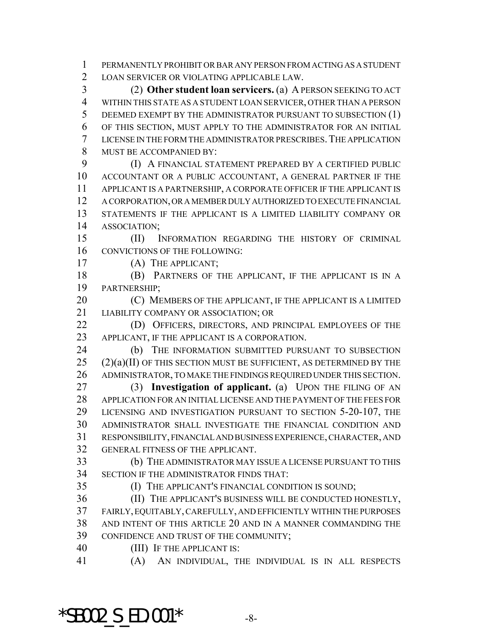PERMANENTLY PROHIBIT OR BAR ANY PERSON FROM ACTING AS A STUDENT LOAN SERVICER OR VIOLATING APPLICABLE LAW.

 (2) **Other student loan servicers.** (a) A PERSON SEEKING TO ACT WITHIN THIS STATE AS A STUDENT LOAN SERVICER, OTHER THAN A PERSON DEEMED EXEMPT BY THE ADMINISTRATOR PURSUANT TO SUBSECTION (1) OF THIS SECTION, MUST APPLY TO THE ADMINISTRATOR FOR AN INITIAL LICENSE IN THE FORM THE ADMINISTRATOR PRESCRIBES.THE APPLICATION MUST BE ACCOMPANIED BY:

 (I) A FINANCIAL STATEMENT PREPARED BY A CERTIFIED PUBLIC ACCOUNTANT OR A PUBLIC ACCOUNTANT, A GENERAL PARTNER IF THE APPLICANT IS A PARTNERSHIP, A CORPORATE OFFICER IF THE APPLICANT IS A CORPORATION, OR A MEMBER DULY AUTHORIZED TO EXECUTE FINANCIAL STATEMENTS IF THE APPLICANT IS A LIMITED LIABILITY COMPANY OR ASSOCIATION;

 (II) INFORMATION REGARDING THE HISTORY OF CRIMINAL CONVICTIONS OF THE FOLLOWING:

(A) THE APPLICANT;

 (B) PARTNERS OF THE APPLICANT, IF THE APPLICANT IS IN A PARTNERSHIP;

**(C) MEMBERS OF THE APPLICANT, IF THE APPLICANT IS A LIMITED** LIABILITY COMPANY OR ASSOCIATION; OR

22 (D) OFFICERS, DIRECTORS, AND PRINCIPAL EMPLOYEES OF THE APPLICANT, IF THE APPLICANT IS A CORPORATION.

 (b) THE INFORMATION SUBMITTED PURSUANT TO SUBSECTION  $(2)(a)(II)$  OF THIS SECTION MUST BE SUFFICIENT, AS DETERMINED BY THE ADMINISTRATOR, TO MAKE THE FINDINGS REQUIRED UNDER THIS SECTION.

 (3) **Investigation of applicant.** (a) UPON THE FILING OF AN APPLICATION FOR AN INITIAL LICENSE AND THE PAYMENT OF THE FEES FOR LICENSING AND INVESTIGATION PURSUANT TO SECTION 5-20-107, THE ADMINISTRATOR SHALL INVESTIGATE THE FINANCIAL CONDITION AND RESPONSIBILITY, FINANCIAL AND BUSINESS EXPERIENCE, CHARACTER, AND GENERAL FITNESS OF THE APPLICANT.

 (b) THE ADMINISTRATOR MAY ISSUE A LICENSE PURSUANT TO THIS SECTION IF THE ADMINISTRATOR FINDS THAT:

(I) THE APPLICANT'S FINANCIAL CONDITION IS SOUND;

 (II) THE APPLICANT'S BUSINESS WILL BE CONDUCTED HONESTLY, FAIRLY, EQUITABLY, CAREFULLY, AND EFFICIENTLY WITHIN THE PURPOSES AND INTENT OF THIS ARTICLE 20 AND IN A MANNER COMMANDING THE CONFIDENCE AND TRUST OF THE COMMUNITY;

(III) IF THE APPLICANT IS:

(A) AN INDIVIDUAL, THE INDIVIDUAL IS IN ALL RESPECTS

\*SB002 S ED.001\*  $-8-$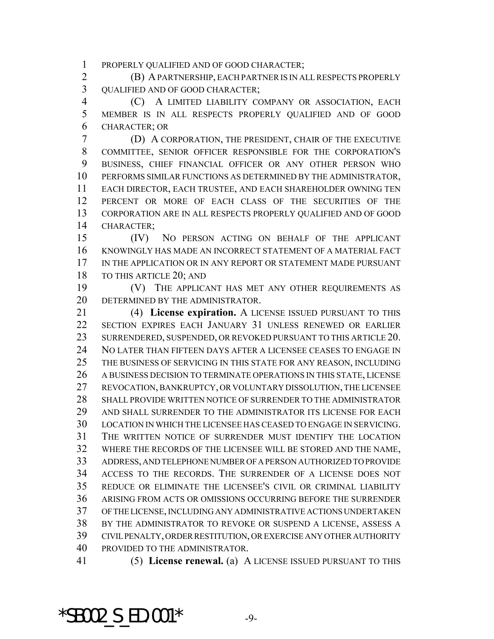PROPERLY QUALIFIED AND OF GOOD CHARACTER;

 (B) A PARTNERSHIP, EACH PARTNER IS IN ALL RESPECTS PROPERLY 3 OUALIFIED AND OF GOOD CHARACTER;

 (C) A LIMITED LIABILITY COMPANY OR ASSOCIATION, EACH MEMBER IS IN ALL RESPECTS PROPERLY QUALIFIED AND OF GOOD CHARACTER; OR

 (D) A CORPORATION, THE PRESIDENT, CHAIR OF THE EXECUTIVE COMMITTEE, SENIOR OFFICER RESPONSIBLE FOR THE CORPORATION'S BUSINESS, CHIEF FINANCIAL OFFICER OR ANY OTHER PERSON WHO PERFORMS SIMILAR FUNCTIONS AS DETERMINED BY THE ADMINISTRATOR, EACH DIRECTOR, EACH TRUSTEE, AND EACH SHAREHOLDER OWNING TEN PERCENT OR MORE OF EACH CLASS OF THE SECURITIES OF THE CORPORATION ARE IN ALL RESPECTS PROPERLY QUALIFIED AND OF GOOD CHARACTER;

 (IV) NO PERSON ACTING ON BEHALF OF THE APPLICANT KNOWINGLY HAS MADE AN INCORRECT STATEMENT OF A MATERIAL FACT IN THE APPLICATION OR IN ANY REPORT OR STATEMENT MADE PURSUANT TO THIS ARTICLE 20; AND

 (V) THE APPLICANT HAS MET ANY OTHER REQUIREMENTS AS DETERMINED BY THE ADMINISTRATOR.

 (4) **License expiration.** A LICENSE ISSUED PURSUANT TO THIS SECTION EXPIRES EACH JANUARY 31 UNLESS RENEWED OR EARLIER SURRENDERED, SUSPENDED, OR REVOKED PURSUANT TO THIS ARTICLE 20. NO LATER THAN FIFTEEN DAYS AFTER A LICENSEE CEASES TO ENGAGE IN THE BUSINESS OF SERVICING IN THIS STATE FOR ANY REASON, INCLUDING A BUSINESS DECISION TO TERMINATE OPERATIONS IN THIS STATE, LICENSE REVOCATION, BANKRUPTCY, OR VOLUNTARY DISSOLUTION, THE LICENSEE SHALL PROVIDE WRITTEN NOTICE OF SURRENDER TO THE ADMINISTRATOR AND SHALL SURRENDER TO THE ADMINISTRATOR ITS LICENSE FOR EACH LOCATION IN WHICH THE LICENSEE HAS CEASED TO ENGAGE IN SERVICING. THE WRITTEN NOTICE OF SURRENDER MUST IDENTIFY THE LOCATION WHERE THE RECORDS OF THE LICENSEE WILL BE STORED AND THE NAME, ADDRESS, AND TELEPHONE NUMBER OF A PERSON AUTHORIZED TO PROVIDE ACCESS TO THE RECORDS. THE SURRENDER OF A LICENSE DOES NOT REDUCE OR ELIMINATE THE LICENSEE'S CIVIL OR CRIMINAL LIABILITY ARISING FROM ACTS OR OMISSIONS OCCURRING BEFORE THE SURRENDER OF THE LICENSE, INCLUDING ANY ADMINISTRATIVE ACTIONS UNDERTAKEN BY THE ADMINISTRATOR TO REVOKE OR SUSPEND A LICENSE, ASSESS A CIVIL PENALTY, ORDER RESTITUTION, OR EXERCISE ANY OTHER AUTHORITY PROVIDED TO THE ADMINISTRATOR.

(5) **License renewal.** (a) A LICENSE ISSUED PURSUANT TO THIS

 $*$ SB002 S ED.001 $*$  -9-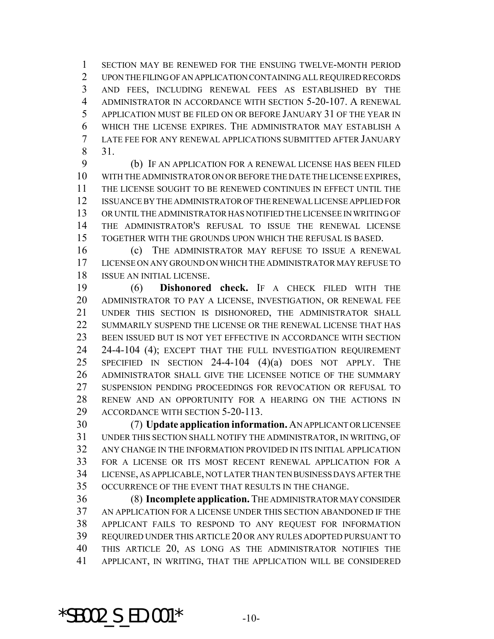SECTION MAY BE RENEWED FOR THE ENSUING TWELVE-MONTH PERIOD UPON THE FILING OF AN APPLICATION CONTAINING ALL REQUIRED RECORDS AND FEES, INCLUDING RENEWAL FEES AS ESTABLISHED BY THE ADMINISTRATOR IN ACCORDANCE WITH SECTION 5-20-107. A RENEWAL APPLICATION MUST BE FILED ON OR BEFORE JANUARY 31 OF THE YEAR IN WHICH THE LICENSE EXPIRES. THE ADMINISTRATOR MAY ESTABLISH A LATE FEE FOR ANY RENEWAL APPLICATIONS SUBMITTED AFTER JANUARY 31.

 (b) IF AN APPLICATION FOR A RENEWAL LICENSE HAS BEEN FILED WITH THE ADMINISTRATOR ON OR BEFORE THE DATE THE LICENSE EXPIRES, THE LICENSE SOUGHT TO BE RENEWED CONTINUES IN EFFECT UNTIL THE ISSUANCE BY THE ADMINISTRATOR OF THE RENEWAL LICENSE APPLIED FOR OR UNTIL THE ADMINISTRATOR HAS NOTIFIED THE LICENSEE IN WRITING OF THE ADMINISTRATOR'S REFUSAL TO ISSUE THE RENEWAL LICENSE TOGETHER WITH THE GROUNDS UPON WHICH THE REFUSAL IS BASED.

 (c) THE ADMINISTRATOR MAY REFUSE TO ISSUE A RENEWAL LICENSE ON ANY GROUND ON WHICH THE ADMINISTRATOR MAY REFUSE TO ISSUE AN INITIAL LICENSE.

 (6) **Dishonored check.** IF A CHECK FILED WITH THE ADMINISTRATOR TO PAY A LICENSE, INVESTIGATION, OR RENEWAL FEE UNDER THIS SECTION IS DISHONORED, THE ADMINISTRATOR SHALL SUMMARILY SUSPEND THE LICENSE OR THE RENEWAL LICENSE THAT HAS BEEN ISSUED BUT IS NOT YET EFFECTIVE IN ACCORDANCE WITH SECTION 24-4-104 (4); EXCEPT THAT THE FULL INVESTIGATION REQUIREMENT SPECIFIED IN SECTION 24-4-104 (4)(a) DOES NOT APPLY. THE ADMINISTRATOR SHALL GIVE THE LICENSEE NOTICE OF THE SUMMARY SUSPENSION PENDING PROCEEDINGS FOR REVOCATION OR REFUSAL TO RENEW AND AN OPPORTUNITY FOR A HEARING ON THE ACTIONS IN ACCORDANCE WITH SECTION 5-20-113.

 (7) **Update application information.** AN APPLICANT OR LICENSEE UNDER THIS SECTION SHALL NOTIFY THE ADMINISTRATOR, IN WRITING, OF ANY CHANGE IN THE INFORMATION PROVIDED IN ITS INITIAL APPLICATION FOR A LICENSE OR ITS MOST RECENT RENEWAL APPLICATION FOR A LICENSE, AS APPLICABLE, NOT LATER THAN TEN BUSINESS DAYS AFTER THE OCCURRENCE OF THE EVENT THAT RESULTS IN THE CHANGE.

 (8) **Incomplete application.** THE ADMINISTRATOR MAY CONSIDER AN APPLICATION FOR A LICENSE UNDER THIS SECTION ABANDONED IF THE APPLICANT FAILS TO RESPOND TO ANY REQUEST FOR INFORMATION REQUIRED UNDER THIS ARTICLE 20 OR ANY RULES ADOPTED PURSUANT TO THIS ARTICLE 20, AS LONG AS THE ADMINISTRATOR NOTIFIES THE APPLICANT, IN WRITING, THAT THE APPLICATION WILL BE CONSIDERED

\*SB002 S ED.001\*  $-10-$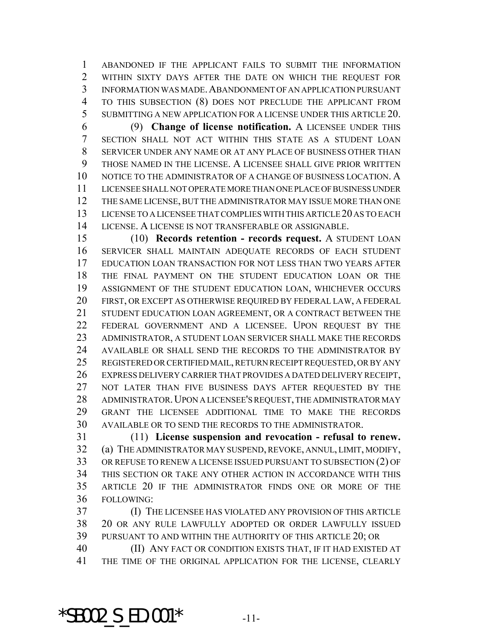ABANDONED IF THE APPLICANT FAILS TO SUBMIT THE INFORMATION WITHIN SIXTY DAYS AFTER THE DATE ON WHICH THE REQUEST FOR INFORMATION WAS MADE.ABANDONMENT OF AN APPLICATION PURSUANT TO THIS SUBSECTION (8) DOES NOT PRECLUDE THE APPLICANT FROM SUBMITTING A NEW APPLICATION FOR A LICENSE UNDER THIS ARTICLE 20.

 (9) **Change of license notification.** A LICENSEE UNDER THIS SECTION SHALL NOT ACT WITHIN THIS STATE AS A STUDENT LOAN SERVICER UNDER ANY NAME OR AT ANY PLACE OF BUSINESS OTHER THAN THOSE NAMED IN THE LICENSE. A LICENSEE SHALL GIVE PRIOR WRITTEN NOTICE TO THE ADMINISTRATOR OF A CHANGE OF BUSINESS LOCATION. A LICENSEE SHALL NOT OPERATE MORE THAN ONE PLACE OF BUSINESS UNDER THE SAME LICENSE, BUT THE ADMINISTRATOR MAY ISSUE MORE THAN ONE LICENSE TO A LICENSEE THAT COMPLIES WITH THIS ARTICLE 20 AS TO EACH LICENSE. A LICENSE IS NOT TRANSFERABLE OR ASSIGNABLE.

 (10) **Records retention - records request.** A STUDENT LOAN SERVICER SHALL MAINTAIN ADEQUATE RECORDS OF EACH STUDENT EDUCATION LOAN TRANSACTION FOR NOT LESS THAN TWO YEARS AFTER THE FINAL PAYMENT ON THE STUDENT EDUCATION LOAN OR THE ASSIGNMENT OF THE STUDENT EDUCATION LOAN, WHICHEVER OCCURS FIRST, OR EXCEPT AS OTHERWISE REQUIRED BY FEDERAL LAW, A FEDERAL STUDENT EDUCATION LOAN AGREEMENT, OR A CONTRACT BETWEEN THE FEDERAL GOVERNMENT AND A LICENSEE. UPON REQUEST BY THE ADMINISTRATOR, A STUDENT LOAN SERVICER SHALL MAKE THE RECORDS AVAILABLE OR SHALL SEND THE RECORDS TO THE ADMINISTRATOR BY REGISTERED OR CERTIFIED MAIL, RETURN RECEIPT REQUESTED, OR BY ANY EXPRESS DELIVERY CARRIER THAT PROVIDES A DATED DELIVERY RECEIPT, 27 NOT LATER THAN FIVE BUSINESS DAYS AFTER REQUESTED BY THE ADMINISTRATOR.UPON A LICENSEE'S REQUEST, THE ADMINISTRATOR MAY GRANT THE LICENSEE ADDITIONAL TIME TO MAKE THE RECORDS AVAILABLE OR TO SEND THE RECORDS TO THE ADMINISTRATOR.

 (11) **License suspension and revocation - refusal to renew.** (a) THE ADMINISTRATOR MAY SUSPEND, REVOKE, ANNUL, LIMIT, MODIFY, OR REFUSE TO RENEW A LICENSE ISSUED PURSUANT TO SUBSECTION (2) OF THIS SECTION OR TAKE ANY OTHER ACTION IN ACCORDANCE WITH THIS ARTICLE 20 IF THE ADMINISTRATOR FINDS ONE OR MORE OF THE FOLLOWING:

 (I) THE LICENSEE HAS VIOLATED ANY PROVISION OF THIS ARTICLE 20 OR ANY RULE LAWFULLY ADOPTED OR ORDER LAWFULLY ISSUED PURSUANT TO AND WITHIN THE AUTHORITY OF THIS ARTICLE 20; OR

 (II) ANY FACT OR CONDITION EXISTS THAT, IF IT HAD EXISTED AT THE TIME OF THE ORIGINAL APPLICATION FOR THE LICENSE, CLEARLY

\*SB002 S ED.001\*  $-11$ -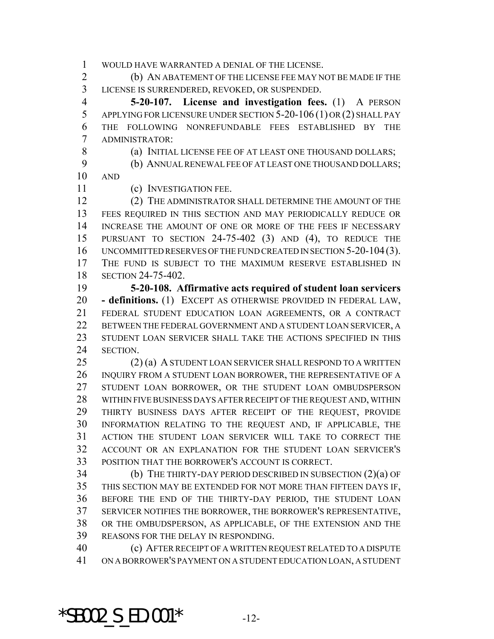WOULD HAVE WARRANTED A DENIAL OF THE LICENSE.

 (b) AN ABATEMENT OF THE LICENSE FEE MAY NOT BE MADE IF THE LICENSE IS SURRENDERED, REVOKED, OR SUSPENDED.

 **5-20-107. License and investigation fees.** (1) A PERSON APPLYING FOR LICENSURE UNDER SECTION 5-20-106 (1) OR (2) SHALL PAY THE FOLLOWING NONREFUNDABLE FEES ESTABLISHED BY THE ADMINISTRATOR:

8 (a) INITIAL LICENSE FEE OF AT LEAST ONE THOUSAND DOLLARS;

(b) ANNUAL RENEWAL FEE OF AT LEAST ONE THOUSAND DOLLARS;

AND

(c) INVESTIGATION FEE.

 (2) THE ADMINISTRATOR SHALL DETERMINE THE AMOUNT OF THE FEES REQUIRED IN THIS SECTION AND MAY PERIODICALLY REDUCE OR INCREASE THE AMOUNT OF ONE OR MORE OF THE FEES IF NECESSARY PURSUANT TO SECTION 24-75-402 (3) AND (4), TO REDUCE THE UNCOMMITTED RESERVES OF THE FUND CREATED IN SECTION 5-20-104(3). THE FUND IS SUBJECT TO THE MAXIMUM RESERVE ESTABLISHED IN SECTION 24-75-402.

 **5-20-108. Affirmative acts required of student loan servicers - definitions.** (1) EXCEPT AS OTHERWISE PROVIDED IN FEDERAL LAW, FEDERAL STUDENT EDUCATION LOAN AGREEMENTS, OR A CONTRACT BETWEEN THE FEDERAL GOVERNMENT AND A STUDENT LOAN SERVICER, A STUDENT LOAN SERVICER SHALL TAKE THE ACTIONS SPECIFIED IN THIS SECTION.

 (2) (a) A STUDENT LOAN SERVICER SHALL RESPOND TO A WRITTEN INQUIRY FROM A STUDENT LOAN BORROWER, THE REPRESENTATIVE OF A STUDENT LOAN BORROWER, OR THE STUDENT LOAN OMBUDSPERSON WITHIN FIVE BUSINESS DAYS AFTER RECEIPT OF THE REQUEST AND, WITHIN THIRTY BUSINESS DAYS AFTER RECEIPT OF THE REQUEST, PROVIDE INFORMATION RELATING TO THE REQUEST AND, IF APPLICABLE, THE ACTION THE STUDENT LOAN SERVICER WILL TAKE TO CORRECT THE ACCOUNT OR AN EXPLANATION FOR THE STUDENT LOAN SERVICER'S POSITION THAT THE BORROWER'S ACCOUNT IS CORRECT.

 (b) THE THIRTY-DAY PERIOD DESCRIBED IN SUBSECTION (2)(a) OF THIS SECTION MAY BE EXTENDED FOR NOT MORE THAN FIFTEEN DAYS IF, BEFORE THE END OF THE THIRTY-DAY PERIOD, THE STUDENT LOAN SERVICER NOTIFIES THE BORROWER, THE BORROWER'S REPRESENTATIVE, OR THE OMBUDSPERSON, AS APPLICABLE, OF THE EXTENSION AND THE REASONS FOR THE DELAY IN RESPONDING.

 (c) AFTER RECEIPT OF A WRITTEN REQUEST RELATED TO A DISPUTE ON A BORROWER'S PAYMENT ON A STUDENT EDUCATION LOAN, A STUDENT

\*SB002 S ED.001\*  $-12$ -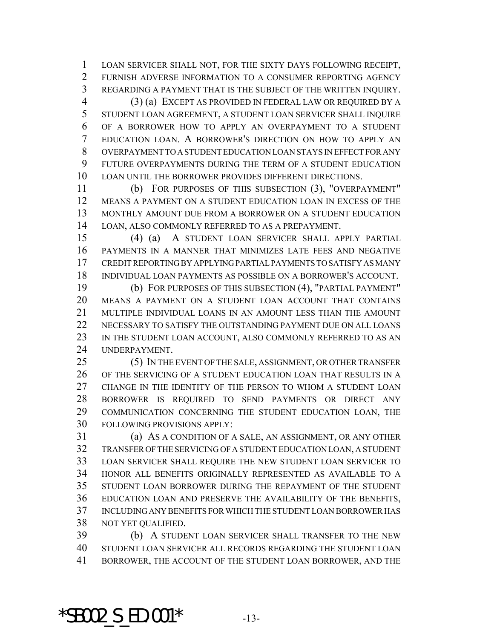LOAN SERVICER SHALL NOT, FOR THE SIXTY DAYS FOLLOWING RECEIPT, FURNISH ADVERSE INFORMATION TO A CONSUMER REPORTING AGENCY REGARDING A PAYMENT THAT IS THE SUBJECT OF THE WRITTEN INQUIRY.

 (3) (a) EXCEPT AS PROVIDED IN FEDERAL LAW OR REQUIRED BY A STUDENT LOAN AGREEMENT, A STUDENT LOAN SERVICER SHALL INQUIRE OF A BORROWER HOW TO APPLY AN OVERPAYMENT TO A STUDENT EDUCATION LOAN. A BORROWER'S DIRECTION ON HOW TO APPLY AN OVERPAYMENT TO A STUDENT EDUCATION LOAN STAYS IN EFFECT FOR ANY FUTURE OVERPAYMENTS DURING THE TERM OF A STUDENT EDUCATION LOAN UNTIL THE BORROWER PROVIDES DIFFERENT DIRECTIONS.

 (b) FOR PURPOSES OF THIS SUBSECTION (3), "OVERPAYMENT" MEANS A PAYMENT ON A STUDENT EDUCATION LOAN IN EXCESS OF THE MONTHLY AMOUNT DUE FROM A BORROWER ON A STUDENT EDUCATION LOAN, ALSO COMMONLY REFERRED TO AS A PREPAYMENT.

 (4) (a) A STUDENT LOAN SERVICER SHALL APPLY PARTIAL PAYMENTS IN A MANNER THAT MINIMIZES LATE FEES AND NEGATIVE CREDIT REPORTING BY APPLYING PARTIAL PAYMENTS TO SATISFY AS MANY INDIVIDUAL LOAN PAYMENTS AS POSSIBLE ON A BORROWER'S ACCOUNT.

 (b) FOR PURPOSES OF THIS SUBSECTION (4), "PARTIAL PAYMENT" MEANS A PAYMENT ON A STUDENT LOAN ACCOUNT THAT CONTAINS MULTIPLE INDIVIDUAL LOANS IN AN AMOUNT LESS THAN THE AMOUNT NECESSARY TO SATISFY THE OUTSTANDING PAYMENT DUE ON ALL LOANS 23 IN THE STUDENT LOAN ACCOUNT, ALSO COMMONLY REFERRED TO AS AN UNDERPAYMENT.

25 (5) IN THE EVENT OF THE SALE, ASSIGNMENT, OR OTHER TRANSFER OF THE SERVICING OF A STUDENT EDUCATION LOAN THAT RESULTS IN A CHANGE IN THE IDENTITY OF THE PERSON TO WHOM A STUDENT LOAN BORROWER IS REQUIRED TO SEND PAYMENTS OR DIRECT ANY COMMUNICATION CONCERNING THE STUDENT EDUCATION LOAN, THE FOLLOWING PROVISIONS APPLY:

 (a) AS A CONDITION OF A SALE, AN ASSIGNMENT, OR ANY OTHER TRANSFER OF THE SERVICING OF A STUDENT EDUCATION LOAN, A STUDENT LOAN SERVICER SHALL REQUIRE THE NEW STUDENT LOAN SERVICER TO HONOR ALL BENEFITS ORIGINALLY REPRESENTED AS AVAILABLE TO A STUDENT LOAN BORROWER DURING THE REPAYMENT OF THE STUDENT EDUCATION LOAN AND PRESERVE THE AVAILABILITY OF THE BENEFITS, INCLUDING ANY BENEFITS FOR WHICH THE STUDENT LOAN BORROWER HAS NOT YET QUALIFIED.

 (b) A STUDENT LOAN SERVICER SHALL TRANSFER TO THE NEW STUDENT LOAN SERVICER ALL RECORDS REGARDING THE STUDENT LOAN BORROWER, THE ACCOUNT OF THE STUDENT LOAN BORROWER, AND THE

\*SB002 S ED.001\*  $-13-$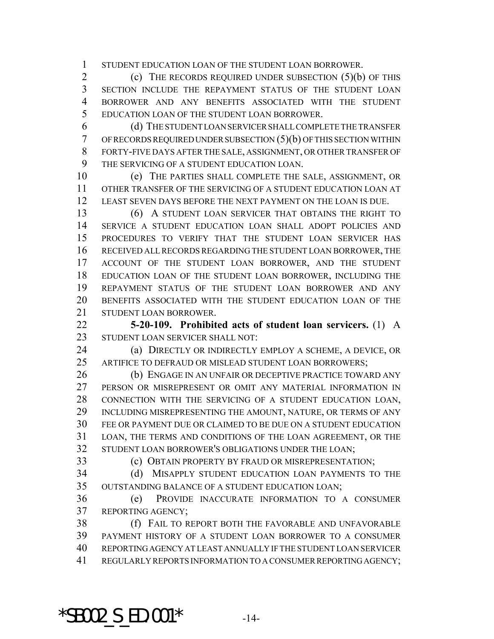STUDENT EDUCATION LOAN OF THE STUDENT LOAN BORROWER.

2 (c) THE RECORDS REQUIRED UNDER SUBSECTION (5)(b) OF THIS SECTION INCLUDE THE REPAYMENT STATUS OF THE STUDENT LOAN BORROWER AND ANY BENEFITS ASSOCIATED WITH THE STUDENT EDUCATION LOAN OF THE STUDENT LOAN BORROWER.

 (d) THE STUDENT LOAN SERVICER SHALL COMPLETE THE TRANSFER OF RECORDS REQUIRED UNDER SUBSECTION (5)(b) OF THIS SECTION WITHIN FORTY-FIVE DAYS AFTER THE SALE, ASSIGNMENT, OR OTHER TRANSFER OF THE SERVICING OF A STUDENT EDUCATION LOAN.

 (e) THE PARTIES SHALL COMPLETE THE SALE, ASSIGNMENT, OR OTHER TRANSFER OF THE SERVICING OF A STUDENT EDUCATION LOAN AT LEAST SEVEN DAYS BEFORE THE NEXT PAYMENT ON THE LOAN IS DUE.

 (6) A STUDENT LOAN SERVICER THAT OBTAINS THE RIGHT TO SERVICE A STUDENT EDUCATION LOAN SHALL ADOPT POLICIES AND PROCEDURES TO VERIFY THAT THE STUDENT LOAN SERVICER HAS RECEIVED ALL RECORDS REGARDING THE STUDENT LOAN BORROWER, THE ACCOUNT OF THE STUDENT LOAN BORROWER, AND THE STUDENT EDUCATION LOAN OF THE STUDENT LOAN BORROWER, INCLUDING THE REPAYMENT STATUS OF THE STUDENT LOAN BORROWER AND ANY BENEFITS ASSOCIATED WITH THE STUDENT EDUCATION LOAN OF THE STUDENT LOAN BORROWER.

 **5-20-109. Prohibited acts of student loan servicers.** (1) A STUDENT LOAN SERVICER SHALL NOT:

 (a) DIRECTLY OR INDIRECTLY EMPLOY A SCHEME, A DEVICE, OR ARTIFICE TO DEFRAUD OR MISLEAD STUDENT LOAN BORROWERS;

26 (b) ENGAGE IN AN UNFAIR OR DECEPTIVE PRACTICE TOWARD ANY PERSON OR MISREPRESENT OR OMIT ANY MATERIAL INFORMATION IN CONNECTION WITH THE SERVICING OF A STUDENT EDUCATION LOAN, INCLUDING MISREPRESENTING THE AMOUNT, NATURE, OR TERMS OF ANY FEE OR PAYMENT DUE OR CLAIMED TO BE DUE ON A STUDENT EDUCATION LOAN, THE TERMS AND CONDITIONS OF THE LOAN AGREEMENT, OR THE STUDENT LOAN BORROWER'S OBLIGATIONS UNDER THE LOAN;

(c) OBTAIN PROPERTY BY FRAUD OR MISREPRESENTATION;

 (d) MISAPPLY STUDENT EDUCATION LOAN PAYMENTS TO THE OUTSTANDING BALANCE OF A STUDENT EDUCATION LOAN;

 (e) PROVIDE INACCURATE INFORMATION TO A CONSUMER REPORTING AGENCY;

 (f) FAIL TO REPORT BOTH THE FAVORABLE AND UNFAVORABLE PAYMENT HISTORY OF A STUDENT LOAN BORROWER TO A CONSUMER REPORTING AGENCY AT LEAST ANNUALLY IF THE STUDENT LOAN SERVICER REGULARLY REPORTS INFORMATION TO A CONSUMER REPORTING AGENCY;

\*SB002 S ED.001\*  $-14$ -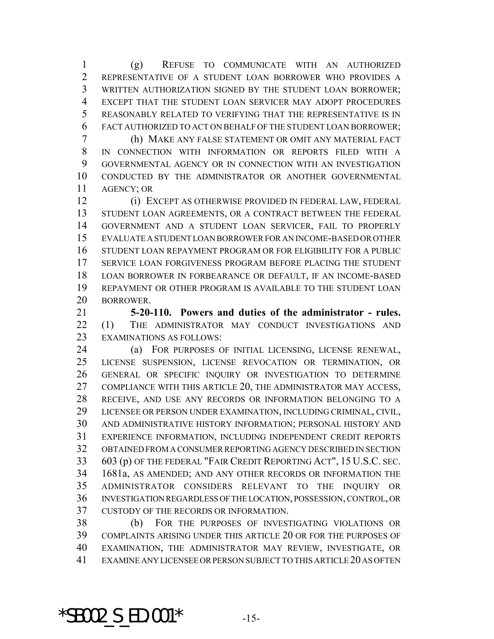(g) REFUSE TO COMMUNICATE WITH AN AUTHORIZED REPRESENTATIVE OF A STUDENT LOAN BORROWER WHO PROVIDES A WRITTEN AUTHORIZATION SIGNED BY THE STUDENT LOAN BORROWER; EXCEPT THAT THE STUDENT LOAN SERVICER MAY ADOPT PROCEDURES REASONABLY RELATED TO VERIFYING THAT THE REPRESENTATIVE IS IN FACT AUTHORIZED TO ACT ON BEHALF OF THE STUDENT LOAN BORROWER;

 (h) MAKE ANY FALSE STATEMENT OR OMIT ANY MATERIAL FACT IN CONNECTION WITH INFORMATION OR REPORTS FILED WITH A GOVERNMENTAL AGENCY OR IN CONNECTION WITH AN INVESTIGATION CONDUCTED BY THE ADMINISTRATOR OR ANOTHER GOVERNMENTAL AGENCY; OR

 (i) EXCEPT AS OTHERWISE PROVIDED IN FEDERAL LAW, FEDERAL 13 STUDENT LOAN AGREEMENTS, OR A CONTRACT BETWEEN THE FEDERAL GOVERNMENT AND A STUDENT LOAN SERVICER, FAIL TO PROPERLY EVALUATE A STUDENT LOAN BORROWER FOR AN INCOME-BASED OR OTHER STUDENT LOAN REPAYMENT PROGRAM OR FOR ELIGIBILITY FOR A PUBLIC SERVICE LOAN FORGIVENESS PROGRAM BEFORE PLACING THE STUDENT LOAN BORROWER IN FORBEARANCE OR DEFAULT, IF AN INCOME-BASED REPAYMENT OR OTHER PROGRAM IS AVAILABLE TO THE STUDENT LOAN BORROWER.

 **5-20-110. Powers and duties of the administrator - rules.** (1) THE ADMINISTRATOR MAY CONDUCT INVESTIGATIONS AND EXAMINATIONS AS FOLLOWS:

 (a) FOR PURPOSES OF INITIAL LICENSING, LICENSE RENEWAL, LICENSE SUSPENSION, LICENSE REVOCATION OR TERMINATION, OR GENERAL OR SPECIFIC INQUIRY OR INVESTIGATION TO DETERMINE COMPLIANCE WITH THIS ARTICLE 20, THE ADMINISTRATOR MAY ACCESS, RECEIVE, AND USE ANY RECORDS OR INFORMATION BELONGING TO A LICENSEE OR PERSON UNDER EXAMINATION, INCLUDING CRIMINAL, CIVIL, AND ADMINISTRATIVE HISTORY INFORMATION; PERSONAL HISTORY AND EXPERIENCE INFORMATION, INCLUDING INDEPENDENT CREDIT REPORTS OBTAINED FROM A CONSUMER REPORTING AGENCY DESCRIBED IN SECTION 603 (p) OF THE FEDERAL "FAIR CREDIT REPORTING ACT", 15 U.S.C. SEC. 1681a, AS AMENDED; AND ANY OTHER RECORDS OR INFORMATION THE ADMINISTRATOR CONSIDERS RELEVANT TO THE INQUIRY OR INVESTIGATION REGARDLESS OF THE LOCATION, POSSESSION, CONTROL, OR CUSTODY OF THE RECORDS OR INFORMATION.

 (b) FOR THE PURPOSES OF INVESTIGATING VIOLATIONS OR COMPLAINTS ARISING UNDER THIS ARTICLE 20 OR FOR THE PURPOSES OF EXAMINATION, THE ADMINISTRATOR MAY REVIEW, INVESTIGATE, OR EXAMINE ANY LICENSEE OR PERSON SUBJECT TO THIS ARTICLE 20 AS OFTEN

\*SB002 S ED.001\*  $-15$ -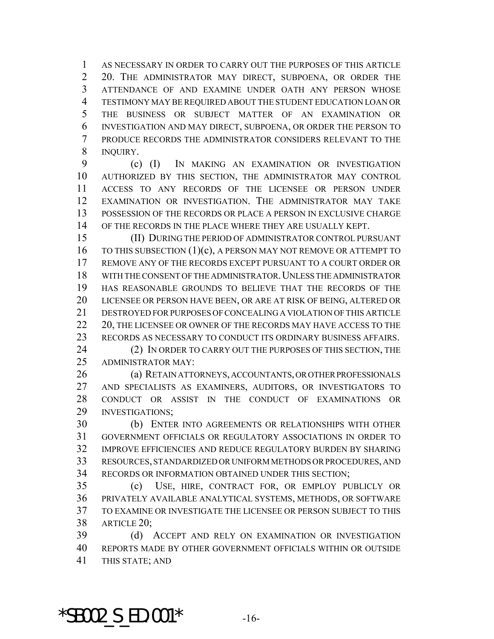AS NECESSARY IN ORDER TO CARRY OUT THE PURPOSES OF THIS ARTICLE 20. THE ADMINISTRATOR MAY DIRECT, SUBPOENA, OR ORDER THE ATTENDANCE OF AND EXAMINE UNDER OATH ANY PERSON WHOSE TESTIMONY MAY BE REQUIRED ABOUT THE STUDENT EDUCATION LOAN OR THE BUSINESS OR SUBJECT MATTER OF AN EXAMINATION OR INVESTIGATION AND MAY DIRECT, SUBPOENA, OR ORDER THE PERSON TO PRODUCE RECORDS THE ADMINISTRATOR CONSIDERS RELEVANT TO THE INQUIRY.

 (c) (I) IN MAKING AN EXAMINATION OR INVESTIGATION AUTHORIZED BY THIS SECTION, THE ADMINISTRATOR MAY CONTROL ACCESS TO ANY RECORDS OF THE LICENSEE OR PERSON UNDER EXAMINATION OR INVESTIGATION. THE ADMINISTRATOR MAY TAKE POSSESSION OF THE RECORDS OR PLACE A PERSON IN EXCLUSIVE CHARGE OF THE RECORDS IN THE PLACE WHERE THEY ARE USUALLY KEPT.

 (II) DURING THE PERIOD OF ADMINISTRATOR CONTROL PURSUANT 16 TO THIS SUBSECTION (1)(c), A PERSON MAY NOT REMOVE OR ATTEMPT TO REMOVE ANY OF THE RECORDS EXCEPT PURSUANT TO A COURT ORDER OR WITH THE CONSENT OF THE ADMINISTRATOR.UNLESS THE ADMINISTRATOR HAS REASONABLE GROUNDS TO BELIEVE THAT THE RECORDS OF THE LICENSEE OR PERSON HAVE BEEN, OR ARE AT RISK OF BEING, ALTERED OR DESTROYED FOR PURPOSES OF CONCEALING A VIOLATION OF THIS ARTICLE 22 20, THE LICENSEE OR OWNER OF THE RECORDS MAY HAVE ACCESS TO THE RECORDS AS NECESSARY TO CONDUCT ITS ORDINARY BUSINESS AFFAIRS. 24 (2) IN ORDER TO CARRY OUT THE PURPOSES OF THIS SECTION, THE

ADMINISTRATOR MAY:

 (a) RETAIN ATTORNEYS, ACCOUNTANTS, OR OTHER PROFESSIONALS AND SPECIALISTS AS EXAMINERS, AUDITORS, OR INVESTIGATORS TO CONDUCT OR ASSIST IN THE CONDUCT OF EXAMINATIONS OR INVESTIGATIONS;

 (b) ENTER INTO AGREEMENTS OR RELATIONSHIPS WITH OTHER GOVERNMENT OFFICIALS OR REGULATORY ASSOCIATIONS IN ORDER TO IMPROVE EFFICIENCIES AND REDUCE REGULATORY BURDEN BY SHARING RESOURCES, STANDARDIZED OR UNIFORM METHODS OR PROCEDURES, AND RECORDS OR INFORMATION OBTAINED UNDER THIS SECTION;

 (c) USE, HIRE, CONTRACT FOR, OR EMPLOY PUBLICLY OR PRIVATELY AVAILABLE ANALYTICAL SYSTEMS, METHODS, OR SOFTWARE TO EXAMINE OR INVESTIGATE THE LICENSEE OR PERSON SUBJECT TO THIS ARTICLE 20;

 (d) ACCEPT AND RELY ON EXAMINATION OR INVESTIGATION REPORTS MADE BY OTHER GOVERNMENT OFFICIALS WITHIN OR OUTSIDE THIS STATE; AND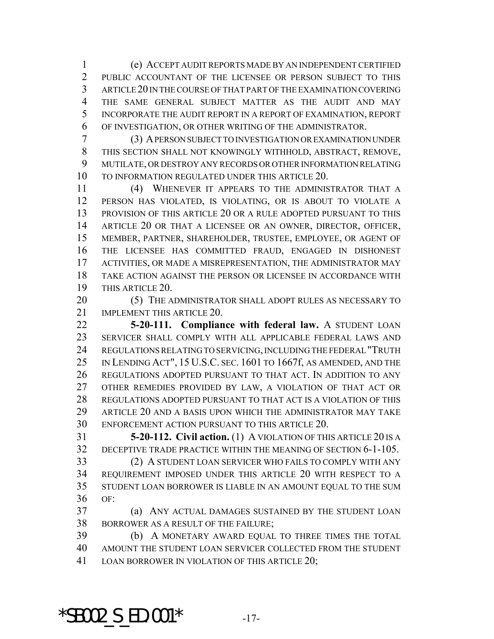(e) ACCEPT AUDIT REPORTS MADE BY AN INDEPENDENT CERTIFIED PUBLIC ACCOUNTANT OF THE LICENSEE OR PERSON SUBJECT TO THIS ARTICLE 20 IN THE COURSE OF THAT PART OF THE EXAMINATION COVERING THE SAME GENERAL SUBJECT MATTER AS THE AUDIT AND MAY INCORPORATE THE AUDIT REPORT IN A REPORT OF EXAMINATION, REPORT OF INVESTIGATION, OR OTHER WRITING OF THE ADMINISTRATOR.

 (3) A PERSON SUBJECT TO INVESTIGATION OR EXAMINATION UNDER THIS SECTION SHALL NOT KNOWINGLY WITHHOLD, ABSTRACT, REMOVE, MUTILATE, OR DESTROY ANY RECORDS OR OTHER INFORMATION RELATING TO INFORMATION REGULATED UNDER THIS ARTICLE 20.

 (4) WHENEVER IT APPEARS TO THE ADMINISTRATOR THAT A PERSON HAS VIOLATED, IS VIOLATING, OR IS ABOUT TO VIOLATE A PROVISION OF THIS ARTICLE 20 OR A RULE ADOPTED PURSUANT TO THIS ARTICLE 20 OR THAT A LICENSEE OR AN OWNER, DIRECTOR, OFFICER, MEMBER, PARTNER, SHAREHOLDER, TRUSTEE, EMPLOYEE, OR AGENT OF THE LICENSEE HAS COMMITTED FRAUD, ENGAGED IN DISHONEST ACTIVITIES, OR MADE A MISREPRESENTATION, THE ADMINISTRATOR MAY TAKE ACTION AGAINST THE PERSON OR LICENSEE IN ACCORDANCE WITH THIS ARTICLE 20.

20 (5) THE ADMINISTRATOR SHALL ADOPT RULES AS NECESSARY TO 21 IMPLEMENT THIS ARTICLE 20.

 **5-20-111. Compliance with federal law.** A STUDENT LOAN SERVICER SHALL COMPLY WITH ALL APPLICABLE FEDERAL LAWS AND REGULATIONS RELATING TO SERVICING, INCLUDING THE FEDERAL "TRUTH IN LENDING ACT", 15 U.S.C. SEC. 1601 TO 1667f, AS AMENDED, AND THE REGULATIONS ADOPTED PURSUANT TO THAT ACT. IN ADDITION TO ANY OTHER REMEDIES PROVIDED BY LAW, A VIOLATION OF THAT ACT OR REGULATIONS ADOPTED PURSUANT TO THAT ACT IS A VIOLATION OF THIS ARTICLE 20 AND A BASIS UPON WHICH THE ADMINISTRATOR MAY TAKE ENFORCEMENT ACTION PURSUANT TO THIS ARTICLE 20.

 **5-20-112. Civil action.** (1) A VIOLATION OF THIS ARTICLE 20 IS A DECEPTIVE TRADE PRACTICE WITHIN THE MEANING OF SECTION 6-1-105.

 (2) A STUDENT LOAN SERVICER WHO FAILS TO COMPLY WITH ANY REQUIREMENT IMPOSED UNDER THIS ARTICLE 20 WITH RESPECT TO A STUDENT LOAN BORROWER IS LIABLE IN AN AMOUNT EQUAL TO THE SUM OF:

 (a) ANY ACTUAL DAMAGES SUSTAINED BY THE STUDENT LOAN BORROWER AS A RESULT OF THE FAILURE;

 (b) A MONETARY AWARD EQUAL TO THREE TIMES THE TOTAL AMOUNT THE STUDENT LOAN SERVICER COLLECTED FROM THE STUDENT 41 LOAN BORROWER IN VIOLATION OF THIS ARTICLE 20;

\*SB002 S ED.001\*  $-17$ -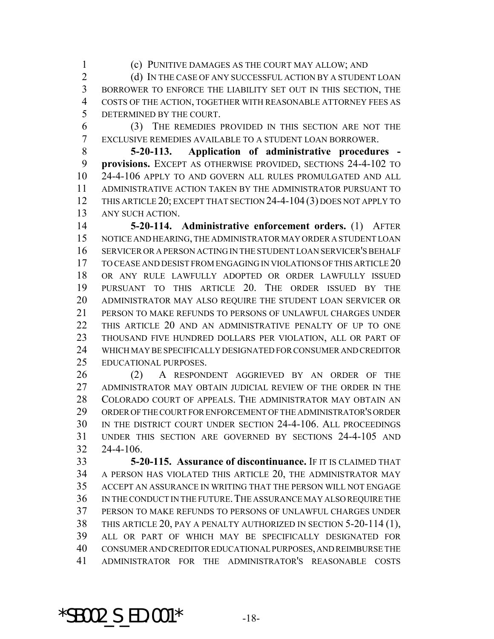(c) PUNITIVE DAMAGES AS THE COURT MAY ALLOW; AND

2 (d) IN THE CASE OF ANY SUCCESSFUL ACTION BY A STUDENT LOAN BORROWER TO ENFORCE THE LIABILITY SET OUT IN THIS SECTION, THE COSTS OF THE ACTION, TOGETHER WITH REASONABLE ATTORNEY FEES AS DETERMINED BY THE COURT.

 (3) THE REMEDIES PROVIDED IN THIS SECTION ARE NOT THE EXCLUSIVE REMEDIES AVAILABLE TO A STUDENT LOAN BORROWER.

 **5-20-113. Application of administrative procedures - provisions.** EXCEPT AS OTHERWISE PROVIDED, SECTIONS 24-4-102 TO 24-4-106 APPLY TO AND GOVERN ALL RULES PROMULGATED AND ALL ADMINISTRATIVE ACTION TAKEN BY THE ADMINISTRATOR PURSUANT TO THIS ARTICLE 20; EXCEPT THAT SECTION 24-4-104 (3) DOES NOT APPLY TO ANY SUCH ACTION.

 **5-20-114. Administrative enforcement orders.** (1) AFTER NOTICE AND HEARING, THE ADMINISTRATOR MAY ORDER A STUDENT LOAN SERVICER OR A PERSON ACTING IN THE STUDENT LOAN SERVICER'S BEHALF TO CEASE AND DESIST FROM ENGAGING IN VIOLATIONS OF THIS ARTICLE 20 OR ANY RULE LAWFULLY ADOPTED OR ORDER LAWFULLY ISSUED PURSUANT TO THIS ARTICLE 20. THE ORDER ISSUED BY THE ADMINISTRATOR MAY ALSO REQUIRE THE STUDENT LOAN SERVICER OR PERSON TO MAKE REFUNDS TO PERSONS OF UNLAWFUL CHARGES UNDER THIS ARTICLE 20 AND AN ADMINISTRATIVE PENALTY OF UP TO ONE THOUSAND FIVE HUNDRED DOLLARS PER VIOLATION, ALL OR PART OF WHICH MAY BE SPECIFICALLY DESIGNATED FOR CONSUMER AND CREDITOR EDUCATIONAL PURPOSES.

 (2) A RESPONDENT AGGRIEVED BY AN ORDER OF THE ADMINISTRATOR MAY OBTAIN JUDICIAL REVIEW OF THE ORDER IN THE COLORADO COURT OF APPEALS. THE ADMINISTRATOR MAY OBTAIN AN ORDER OF THE COURT FOR ENFORCEMENT OF THE ADMINISTRATOR'S ORDER IN THE DISTRICT COURT UNDER SECTION 24-4-106. ALL PROCEEDINGS UNDER THIS SECTION ARE GOVERNED BY SECTIONS 24-4-105 AND 24-4-106.

 **5-20-115. Assurance of discontinuance.** IF IT IS CLAIMED THAT A PERSON HAS VIOLATED THIS ARTICLE 20, THE ADMINISTRATOR MAY ACCEPT AN ASSURANCE IN WRITING THAT THE PERSON WILL NOT ENGAGE IN THE CONDUCT IN THE FUTURE.THE ASSURANCE MAY ALSO REQUIRE THE PERSON TO MAKE REFUNDS TO PERSONS OF UNLAWFUL CHARGES UNDER THIS ARTICLE 20, PAY A PENALTY AUTHORIZED IN SECTION 5-20-114 (1), ALL OR PART OF WHICH MAY BE SPECIFICALLY DESIGNATED FOR CONSUMER AND CREDITOR EDUCATIONAL PURPOSES, AND REIMBURSE THE ADMINISTRATOR FOR THE ADMINISTRATOR'S REASONABLE COSTS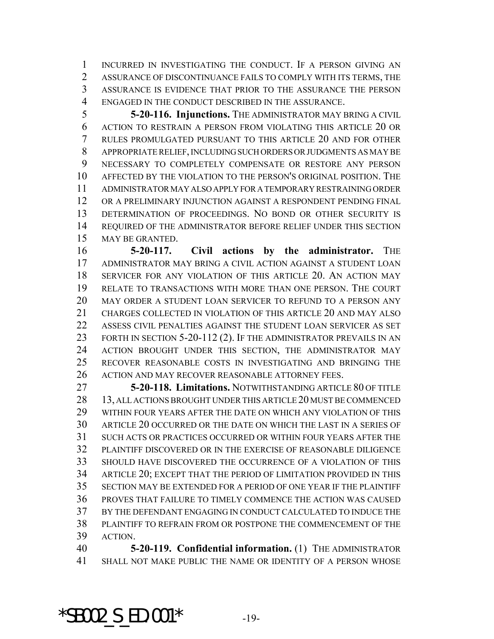INCURRED IN INVESTIGATING THE CONDUCT. IF A PERSON GIVING AN ASSURANCE OF DISCONTINUANCE FAILS TO COMPLY WITH ITS TERMS, THE ASSURANCE IS EVIDENCE THAT PRIOR TO THE ASSURANCE THE PERSON ENGAGED IN THE CONDUCT DESCRIBED IN THE ASSURANCE.

 **5-20-116. Injunctions.** THE ADMINISTRATOR MAY BRING A CIVIL ACTION TO RESTRAIN A PERSON FROM VIOLATING THIS ARTICLE 20 OR RULES PROMULGATED PURSUANT TO THIS ARTICLE 20 AND FOR OTHER APPROPRIATE RELIEF, INCLUDING SUCH ORDERS OR JUDGMENTS AS MAY BE NECESSARY TO COMPLETELY COMPENSATE OR RESTORE ANY PERSON AFFECTED BY THE VIOLATION TO THE PERSON'S ORIGINAL POSITION. THE ADMINISTRATOR MAY ALSO APPLY FOR A TEMPORARY RESTRAINING ORDER OR A PRELIMINARY INJUNCTION AGAINST A RESPONDENT PENDING FINAL DETERMINATION OF PROCEEDINGS. NO BOND OR OTHER SECURITY IS REQUIRED OF THE ADMINISTRATOR BEFORE RELIEF UNDER THIS SECTION MAY BE GRANTED.

**5-20-117. Civil actions by the administrator.** THE ADMINISTRATOR MAY BRING A CIVIL ACTION AGAINST A STUDENT LOAN SERVICER FOR ANY VIOLATION OF THIS ARTICLE 20. AN ACTION MAY RELATE TO TRANSACTIONS WITH MORE THAN ONE PERSON. THE COURT MAY ORDER A STUDENT LOAN SERVICER TO REFUND TO A PERSON ANY CHARGES COLLECTED IN VIOLATION OF THIS ARTICLE 20 AND MAY ALSO ASSESS CIVIL PENALTIES AGAINST THE STUDENT LOAN SERVICER AS SET 23 FORTH IN SECTION 5-20-112 (2). IF THE ADMINISTRATOR PREVAILS IN AN ACTION BROUGHT UNDER THIS SECTION, THE ADMINISTRATOR MAY RECOVER REASONABLE COSTS IN INVESTIGATING AND BRINGING THE ACTION AND MAY RECOVER REASONABLE ATTORNEY FEES.

 **5-20-118. Limitations.** NOTWITHSTANDING ARTICLE 80 OF TITLE 13, ALL ACTIONS BROUGHT UNDER THIS ARTICLE 20 MUST BE COMMENCED WITHIN FOUR YEARS AFTER THE DATE ON WHICH ANY VIOLATION OF THIS ARTICLE 20 OCCURRED OR THE DATE ON WHICH THE LAST IN A SERIES OF SUCH ACTS OR PRACTICES OCCURRED OR WITHIN FOUR YEARS AFTER THE PLAINTIFF DISCOVERED OR IN THE EXERCISE OF REASONABLE DILIGENCE SHOULD HAVE DISCOVERED THE OCCURRENCE OF A VIOLATION OF THIS ARTICLE 20; EXCEPT THAT THE PERIOD OF LIMITATION PROVIDED IN THIS SECTION MAY BE EXTENDED FOR A PERIOD OF ONE YEAR IF THE PLAINTIFF PROVES THAT FAILURE TO TIMELY COMMENCE THE ACTION WAS CAUSED BY THE DEFENDANT ENGAGING IN CONDUCT CALCULATED TO INDUCE THE PLAINTIFF TO REFRAIN FROM OR POSTPONE THE COMMENCEMENT OF THE ACTION.

 **5-20-119. Confidential information.** (1) THE ADMINISTRATOR SHALL NOT MAKE PUBLIC THE NAME OR IDENTITY OF A PERSON WHOSE

\*SB002 S ED.001\*  $-19-$